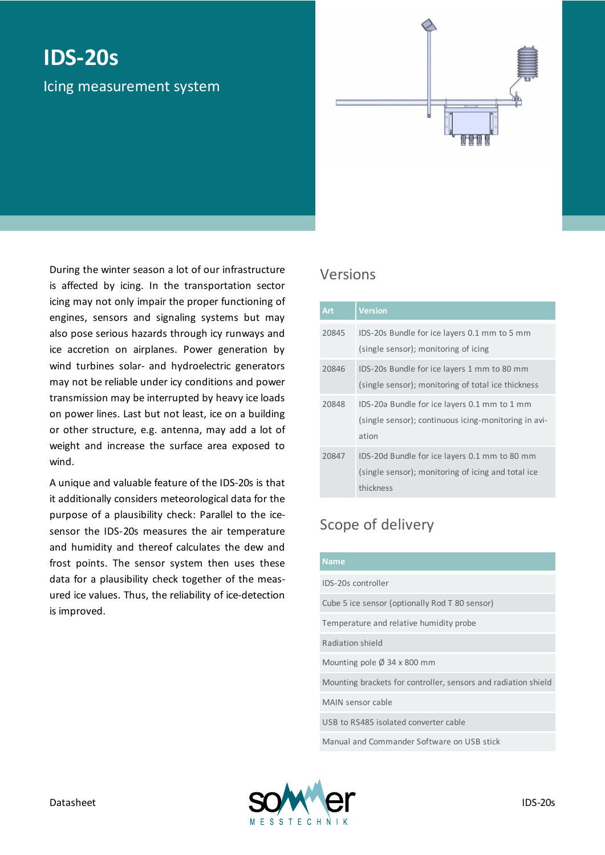# **IDS-20s**

Icing measurement system

During the winter season a lot of our infrastructure is affected by icing. In the transportation sector icing may not only impair the proper functioning of engines, sensors and signaling systems but may also pose serious hazards through icy runways and ice accretion on airplanes. Power generation by wind turbines solar- and hydroelectric generators may not be reliable under icy conditions and power transmission may be interrupted by heavy ice loads on power lines. Last but not least, ice on a building or other structure, e.g. antenna, may add a lot of weight and increase the surface area exposed to wind.

A unique and valuable feature of the IDS-20s is that it additionally considers meteorological data for the purpose of a plausibility check: Parallel to the icesensor the IDS-20s measures the air temperature and humidity and thereof calculates the dew and frost points. The sensor system then uses these data for a plausibility check together of the measured ice values. Thus, the reliability of ice-detection is improved.

#### Versions

| Art   | <b>Version</b>                                       |
|-------|------------------------------------------------------|
| 20845 | IDS-20s Bundle for ice layers 0.1 mm to 5 mm         |
|       | (single sensor); monitoring of icing                 |
| 20846 | IDS-20s Bundle for ice layers 1 mm to 80 mm          |
|       | (single sensor); monitoring of total ice thickness   |
| 20848 | IDS-20a Bundle for ice layers 0.1 mm to 1 mm         |
|       | (single sensor); continuous icing-monitoring in avi- |
|       | ation                                                |
| 20847 | IDS-20d Bundle for ice layers 0.1 mm to 80 mm        |
|       | (single sensor); monitoring of icing and total ice   |
|       | thickness                                            |

### Scope of delivery

| <b>Name</b>                                                    |  |  |
|----------------------------------------------------------------|--|--|
| IDS-20s controller                                             |  |  |
| Cube 5 ice sensor (optionally Rod T 80 sensor)                 |  |  |
| Temperature and relative humidity probe                        |  |  |
| Radiation shield                                               |  |  |
| Mounting pole $\emptyset$ 34 x 800 mm                          |  |  |
| Mounting brackets for controller, sensors and radiation shield |  |  |
| MAIN sensor cable                                              |  |  |
| USB to RS485 isolated converter cable                          |  |  |
| Manual and Commander Software on USB stick                     |  |  |

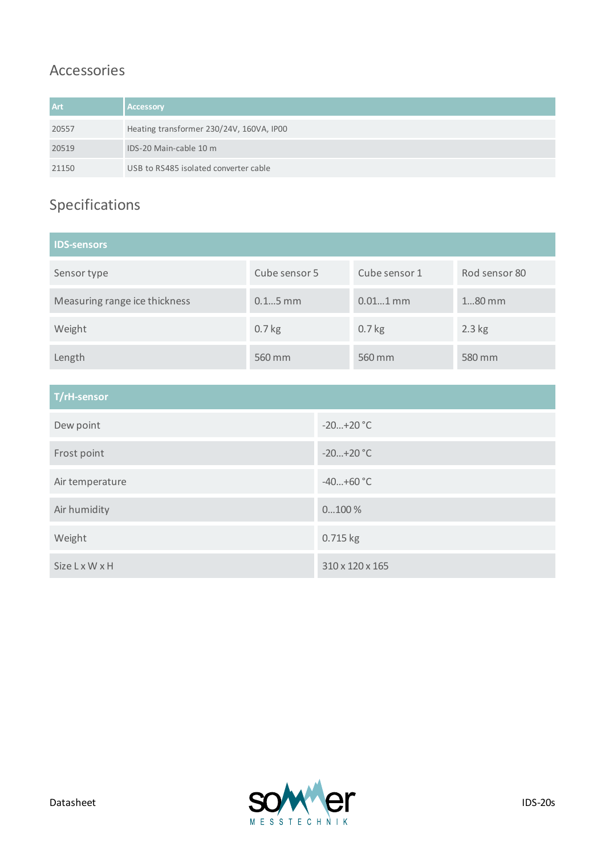#### Accessories

| <b>Art</b> | <b>Accessory</b>                         |
|------------|------------------------------------------|
| 20557      | Heating transformer 230/24V, 160VA, IP00 |
| 20519      | IDS-20 Main-cable 10 m                   |
| 21150      | USB to RS485 isolated converter cable    |

## Specifications

| <b>IDS-sensors</b>                         |               |             |                 |               |  |  |
|--------------------------------------------|---------------|-------------|-----------------|---------------|--|--|
| Sensor type                                | Cube sensor 5 |             | Cube sensor 1   | Rod sensor 80 |  |  |
| $0.15$ mm<br>Measuring range ice thickness |               |             | $0.011$ mm      | 180 mm        |  |  |
| 0.7 <sub>kg</sub><br>Weight                |               |             | $0.7$ kg        | $2.3$ kg      |  |  |
| 560 mm<br>Length                           |               |             | 560 mm          | 580 mm        |  |  |
|                                            |               |             |                 |               |  |  |
| T/rH-sensor                                |               |             |                 |               |  |  |
| Dew point                                  |               |             | $-20+20$ °C     |               |  |  |
| Frost point                                |               | $-20+20$ °C |                 |               |  |  |
| Air temperature                            |               |             | $-40+60$ °C     |               |  |  |
| Air humidity                               |               |             | $0100\,\%$      |               |  |  |
| Weight                                     |               |             | 0.715 kg        |               |  |  |
| <b>Size L x W x H</b>                      |               |             | 310 x 120 x 165 |               |  |  |

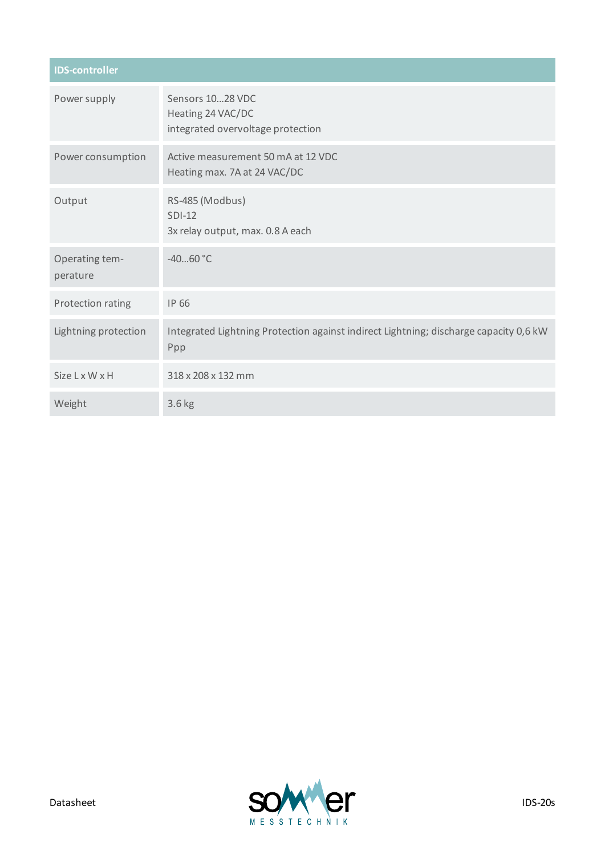| <b>IDS-controller</b>      |                                                                                              |  |  |  |
|----------------------------|----------------------------------------------------------------------------------------------|--|--|--|
| Power supply               | Sensors 1028 VDC<br>Heating 24 VAC/DC<br>integrated overvoltage protection                   |  |  |  |
| Power consumption          | Active measurement 50 mA at 12 VDC<br>Heating max. 7A at 24 VAC/DC                           |  |  |  |
| Output                     | RS-485 (Modbus)<br>$SDI-12$<br>3x relay output, max. 0.8 A each                              |  |  |  |
| Operating tem-<br>perature | $-4060 °C$                                                                                   |  |  |  |
| Protection rating          | <b>IP 66</b>                                                                                 |  |  |  |
| Lightning protection       | Integrated Lightning Protection against indirect Lightning; discharge capacity 0,6 kW<br>Ppp |  |  |  |
| <b>Size L x W x H</b>      | 318 x 208 x 132 mm                                                                           |  |  |  |
| Weight                     | 3.6 kg                                                                                       |  |  |  |